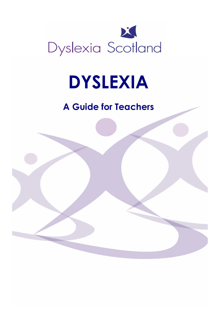

# DYSLEXIA

# A Guide for Teachers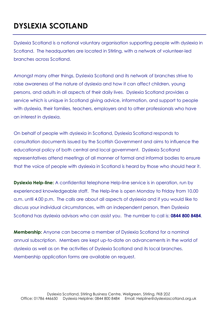# DYSLEXIA SCOTLAND

Dyslexia Scotland is a national voluntary organisation supporting people with dyslexia in Scotland. The headquarters are located in Stirling, with a network of volunteer-led branches across Scotland.

Amongst many other things, Dyslexia Scotland and its network of branches strive to raise awareness of the nature of dyslexia and how it can affect children, young persons, and adults in all aspects of their daily lives. Dyslexia Scotland provides a service which is unique in Scotland giving advice, information, and support to people with dyslexia, their families, teachers, employers and to other professionals who have an interest in dyslexia.

On behalf of people with dyslexia in Scotland, Dyslexia Scotland responds to consultation documents issued by the Scottish Government and aims to influence the educational policy of both central and local government. Dyslexia Scotland representatives attend meetings of all manner of formal and informal bodies to ensure that the voice of people with dyslexia in Scotland is heard by those who should hear it.

**Dyslexia Help-line:** A confidential telephone Help-line service is in operation, run by experienced knowledgeable staff. The Help-line is open Monday to Friday from 10.00 a.m. until 4.00 p.m. The calls are about all aspects of dyslexia and if you would like to discuss your individual circumstances, with an independent person, then Dyslexia Scotland has dyslexia advisors who can assist you. The number to call is: 0844 800 8484.

Membership: Anyone can become a member of Dyslexia Scotland for a nominal annual subscription. Members are kept up-to-date on advancements in the world of dyslexia as well as on the activities of Dyslexia Scotland and its local branches. Membership application forms are available on request.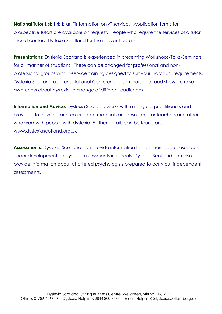**National Tutor List:** This is an "information only" service. Application forms for prospective tutors are available on request. People who require the services of a tutor should contact Dyslexia Scotland for the relevant details.

**Presentations:** Dyslexia Scotland is experienced in presenting Workshops/Talks/Seminars for all manner of situations. These can be arranged for professional and nonprofessional groups with in-service training designed to suit your individual requirements. Dyslexia Scotland also runs National Conferences, seminars and road shows to raise awareness about dyslexia to a range of different audiences.

Information and Advice: Dyslexia Scotland works with a range of practitioners and providers to develop and co-ordinate materials and resources for teachers and others who work with people with dyslexia. Further details can be found on: www.dyslexiascotland.org.uk

Assessments: Dyslexia Scotland can provide information for teachers about resources under development on dyslexia assessments in schools. Dyslexia Scotland can also provide information about chartered psychologists prepared to carry out independent assessments.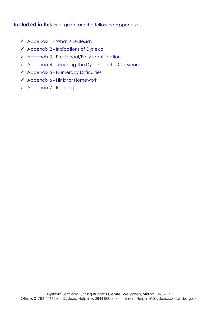Included in this brief guide are the following Appendixes.

- Appendix 1 What is Dyslexia?
- $\checkmark$  Appendix 2 Indications of Dyslexia
- $\checkmark$  Appendix 3 Pre-School/Early Identification
- $\checkmark$  Appendix 4 Teaching The Dyslexic in the Classroom
- $\checkmark$  Appendix 5 Numeracy Difficulties
- $\checkmark$  Appendix 6 Hints for Homework
- Appendix 7 Reading List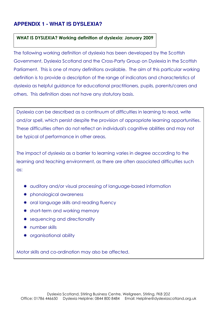# **APPENDIX 1 - WHAT IS DYSLEXIA?**

#### WHAT IS DYSLEXIA? Working definition of dyslexia: January 2009

The following working definition of dyslexia has been developed by the Scottish Government, Dyslexia Scotland and the Cross-Party Group on Dyslexia in the Scottish Parliament. This is one of many definitions available. The aim of this particular working definition is to provide a description of the range of indicators and characteristics of dyslexia as helpful guidance for educational practitioners, pupils, parents/carers and others. This definition does not have any statutory basis.

Dyslexia can be described as a continuum of difficulties in learning to read, write and/or spell, which persist despite the provision of appropriate learning opportunities. These difficulties often do not reflect an individual's cognitive abilities and may not be typical of performance in other areas.

The impact of dyslexia as a barrier to learning varies in degree according to the learning and teaching environment, as there are often associated difficulties such as:

- \* auditory and/or visual processing of language-based information
- phonological awareness
- \* oral language skills and reading fluency
- \* short-term and working memory
- \* sequencing and directionality
- \* number skills
- \* organisational ability

Motor skills and co-ordination may also be affected.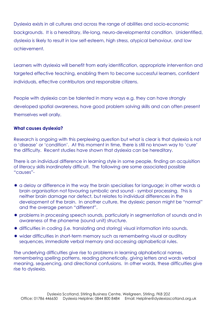Dyslexia exists in all cultures and across the range of abilities and socio-economic backgrounds. It is a hereditary, life-long, neuro-developmental condition. Unidentified, dyslexia is likely to result in low self-esteem, high stress, atypical behaviour, and low achievement.

Learners with dyslexia will benefit from early identification, appropriate intervention and targeted effective teaching, enabling them to become successful learners, confident individuals, effective contributors and responsible citizens.

People with dyslexia can be talented in many ways e.g. they can have strongly developed spatial awareness, have good problem solving skills and can often present themselves well orally.

#### What causes dyslexia?

Research is ongoing with this perplexing question but what is clear is that dyslexia is not a 'disease' or 'condition'. At this moment in time, there is still no known way to 'cure' the difficulty. Recent studies have shown that dyslexia can be hereditary.

There is an individual difference in learning style in some people, finding an acquisition of literacy skills inordinately difficult. The following are some associated possible "causes"-

- \* a delay or difference in the way the brain specialises for language; in other words a brain organisation not favouring symbolic and sound - symbol processing. This is neither brain damage nor defect, but relates to individual differences in the development of the brain. In another culture, the dyslexic person might be "normal" and the average person "different".
- \* problems in processing speech sounds, particularly in segmentation of sounds and in awareness of the phoneme (sound unit) structure.
- \* difficulties in coding (i.e. translating and storing) visual information into sounds.
- \* wider difficulties in short-term memory such as remembering visual or auditory sequences, immediate verbal memory and accessing alphabetical rules.

The underlying difficulties give rise to problems in learning alphabetical names, remembering spelling patterns, reading phonetically, giving letters and words verbal meaning, sequencing, and directional confusions. In other words, these difficulties give rise to dyslexia.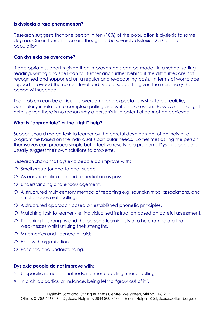#### Is dyslexia a rare phenomenon?

Research suggests that one person in ten (10%) of the population is dyslexic to some degree. One in four of these are thought to be severely dyslexic (2.5% of the population).

#### Can dyslexia be overcome?

If appropriate support is given then improvements can be made. In a school setting reading, writing and spell can fall further and further behind if the difficulties are not recognised and supported on a regular and re-occurring basis. In terms of workplace support, provided the correct level and type of support is given the more likely the person will succeed.

The problem can be difficult to overcome and expectations should be realistic, particularly in relation to complex spelling and written expression. However, if the right help is given there is no reason why a person's true potential cannot be achieved.

#### What is "appropriate" or the "right" help?

Support should match task to learner by the careful development of an individual programme based on the individual's particular needs. Sometimes asking the person themselves can produce simple but effective results to a problem. Dyslexic people can usually suggest their own solutions to problems.

Research shows that dyslexic people do improve with:

- O Small group (or one-to-one) support.
- As early identification and remediation as possible.
- O Understanding and encouragement.
- A structured multi-sensory method of teaching e.g. sound-symbol associations, and simultaneous oral spelling.
- A structured approach based on established phonetic principles.
- O Matching task to learner ie. individualised instruction based on careful assessment.
- $\Omega$  Teaching to strengths and the person's learning style to help remediate the weaknesses whilst utilising their strengths.
- O Mnemonics and "concrete" aids.
- O Help with organisation.
- O Patience and understanding.

#### Dyslexic people do not improve with:

- Unspecific remedial methods, i.e. more reading, more spelling.
- In a child's particular instance, being left to "grow out of it".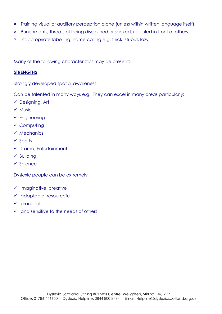- Training visual or auditory perception alone (unless within written language itself).
- Punishments, threats of being disciplined or sacked, ridiculed in front of others.
- **\*** Inappropriate labelling, name calling e.g. thick, stupid, lazy.

Many of the following characteristics may be present:-

#### **STRENGTHS**

Strongly developed spatial awareness.

Can be talented in many ways e.g. They can excel in many areas particularly:

- Designing, Art
- $\checkmark$  Music
- $\checkmark$  Engineering
- $\checkmark$  Computing
- $\checkmark$  Mechanics
- $\checkmark$  Sports
- $\checkmark$  Drama, Entertainment
- $\checkmark$  Building
- $\checkmark$  Science

Dyslexic people can be extremely

- $\checkmark$  imaginative, creative
- $\checkmark$  adaptable, resourceful
- $\checkmark$  practical
- $\checkmark$  and sensitive to the needs of others.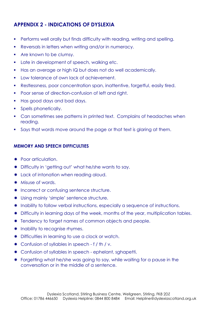# APPENDIX 2 - INDICATIONS OF DYSLEXIA

- **Performs well orally but finds difficulty with reading, writing and spelling.**
- Reversals in letters when writing and/or in numeracy.
- Are known to be clumsy.
- Late in development of speech, walking etc.
- Has an average or high IQ but does not do well academically.
- **Low tolerance of own lack of achievement.**
- Restlessness, poor concentration span, inattentive, forgetful, easily tired.
- Poor sense of direction-confusion of left and right.
- **Has good days and bad days.**
- **Spells phonetically.**
- Can sometimes see patterns in printed text. Complains of headaches when reading.
- Says that words move around the page or that text is alaring at them.

#### MEMORY AND SPEECH DIFFICULTIES

- \* Poor articulation.
- \* Difficulty in 'getting out' what he/she wants to say.
- \* Lack of intonation when reading aloud.
- \* Misuse of words.
- \* Incorrect or confusing sentence structure.
- \* Using mainly 'simple' sentence structure.
- \* Inability to follow verbal instructions, especially a sequence of instructions.
- \* Difficulty in learning days of the week, months of the year, multiplication tables.
- \* Tendency to forget names of common objects and people.
- \* Inability to recognise rhymes.
- \* Difficulties in learning to use a clock or watch.
- \* Confusion of syllables in speech f / th / v.
- \* Confusion of syllables in speech ephelant, sghapetti.
- \* Forgetting what he/she was going to say, while waiting for a pause in the conversation or in the middle of a sentence.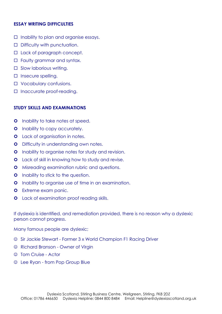#### ESSAY WRITING DIFFICULTIES

- $\Box$  Inability to plan and organise essays.
- D Difficulty with punctuation.
- □ Lack of paragraph concept.
- □ Faulty grammar and syntax.
- $\square$  Slow laborious writing.
- $\square$  Insecure spelling.
- □ Vocabulary confusions.
- □ Inaccurate proof-reading.

#### STUDY SKILLS AND EXAMINATIONS

- **O** Inability to take notes at speed.
- **O** Inability to copy accurately.
- **O** Lack of organisation in notes.
- **O** Difficulty in understanding own notes.
- **O** Inability to organise notes for study and revision.
- **O** Lack of skill in knowing how to study and revise.
- **O** Misreading examination rubric and questions.
- **O** Inability to stick to the question.
- **O** Inability to organise use of time in an examination.
- **O** Extreme exam panic.
- **O** Lack of examination proof reading skills.

If dyslexia is identified, and remediation provided, there is no reason why a dyslexic person cannot progress.

Many famous people are dyslexic;

- ☺ Sir Jackie Stewart Former 3 x World Champion F1 Racing Driver
- ☺ Richard Branson Owner of Virgin
- ☺ Tom Cruise Actor
- ☺ Lee Ryan from Pop Group Blue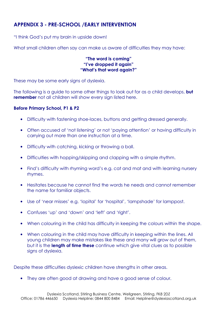# APPENDIX 3 - PRE-SCHOOL /EARLY INTERVENTION

"I think God's put my brain in upside down!

What small children often say can make us aware of difficulties they may have:

#### "The word is coming" "I've dropped it again" "What's that word again?"

These may be some early signs of dyslexia.

The following is a guide to some other things to look out for as a child develops, **but** remember not all children will show every sign listed here.

#### Before Primary School, P1 & P2

- Difficulty with fastening shoe-laces, buttons and getting dressed generally.
- Often accused of 'not listening' or not 'paying attention' or having difficulty in carrying out more than one instruction at a time.
- Difficulty with catching, kicking or throwing a ball.
- Difficulties with hopping/skipping and clapping with a simple rhythm.
- Find's difficulty with rhyming word's e.g. cat and mat and with learning nursery rhymes.
- Hesitates because he cannot find the words he needs and cannot remember the name for familiar objects.
- Use of 'near misses' e.g. 'lopital' for 'hospital', 'lampshade' for lamppost.
- Confuses 'up' and 'down' and 'left' and 'right'.
- When colouring in the child has difficulty in keeping the colours within the shape.
- When colouring in the child may have difficulty in keeping within the lines. All young children may make mistakes like these and many will grow out of them, but it is the length of time these continue which give vital clues as to possible signs of dyslexia.

Despite these difficulties dyslexic children have strengths in other areas.

• They are often good at drawing and have a good sense of colour.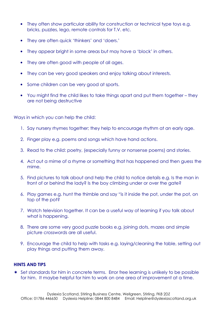- They often show particular ability for construction or technical type toys e.g. bricks, puzzles, lego, remote controls for T.V. etc.
- They are often quick 'thinkers' and 'doers.'
- They appear bright in some areas but may have a 'block' in others.
- They are often good with people of all ages.
- They can be very good speakers and enjoy talking about interests.
- Some children can be very good at sports.
- You might find the child likes to take things apart and put them together they are not being destructive

Ways in which you can help the child:

- 1. Say nursery rhymes together; they help to encourage rhythm at an early age.
- 2. Finger play e.g. poems and songs which have hand actions.
- 3. Read to the child: poetry, (especially funny or nonsense poems) and stories.
- 4. Act out a mime of a rhyme or something that has happened and then guess the mime.
- 5. Find pictures to talk about and help the child to notice details e.g. Is the man in front of or behind the lady? Is the boy climbing under or over the gate?
- 6. Play games e.g. hunt the thimble and say "is it inside the pot, under the pot, on top of the pot?
- 7. Watch television together. It can be a useful way of learning if you talk about what is happening.
- 8. There are some very good puzzle books e.g. joining dots, mazes and simple picture crosswords are all useful.
- 9. Encourage the child to help with tasks e.g. laying/cleaning the table, setting out play things and putting them away.

#### HINTS AND TIPS

 Set standards for him in concrete terms. Error free learning is unlikely to be possible for him. It maybe helpful for him to work on one area of improvement at a time.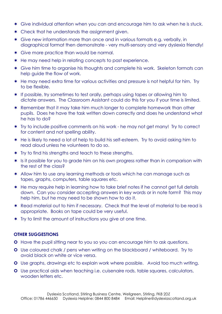- Give individual attention when you can and encourage him to ask when he is stuck.
- \* Check that he understands the assignment given.
- Give new information more than once and in various formats e.g. verbally, in diagraphical format then demonstrate - very multi-sensory and very dyslexia friendly!
- \* Give more practice than would be normal.
- \* He may need help in relating concepts to past experience.
- \* Give him time to organise his thoughts and complete his work. Skeleton formats can help guide the flow of work.
- \* He may need extra time for various activities and pressure is not helpful for him. Try to be flexible.
- \* If possible, try sometimes to test orally, perhaps using tapes or allowing him to dictate answers. The Classroom Assistant could do this for you if your time is limited.
- \* Remember that it may take him much longer to complete homework than other pupils. Does he have the task written down correctly and does he understand what he has to do?
- \* Try to include positive comments on his work he may not get many! Try to correct for content and not spelling ability.
- \* He is likely to need a lot of help to build his self-esteem. Try to avoid asking him to read aloud unless he volunteers to do so.
- \* Try to find his strengths and teach to these strengths.
- \* Is it possible for you to grade him on his own progress rather than in comparison with the rest of the class?
- \* Allow him to use any learning methods or tools which he can manage such as tapes, graphs, computers, table squares etc.
- \* He may require help in learning how to take brief notes if he cannot get full details down. Can you consider accepting answers in key words or in note form? This may help him, but he may need to be shown how to do it.
- \* Read material out to him if necessary. Check that the level of material to be read is appropriate. Books on tape could be very useful.
- \* Try to limit the amount of instructions you give at one time.

#### OTHER SUGGESTIONS

- **O** Have the pupil sitting near to you so you can encourage him to ask questions.
- **O** Use coloured chalk / pens when writing on the blackboard / whiteboard. Try to avoid black on white or vice versa.
- **O** Use graphs, drawings etc to explain work where possible. Avoid too much writing.
- Use practical aids when teaching i.e. cuisenaire rods, table squares, calculators, wooden letters etc.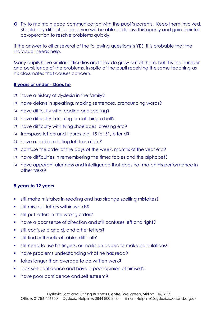**O** Try to maintain good communication with the pupil's parents. Keep them involved. Should any difficulties arise, you will be able to discuss this openly and gain their full co-operation to resolve problems quickly.

If the answer to all or several of the following questions is YES, it is probable that the individual needs help.

Many pupils have similar difficulties and they do grow out of them, but it is the number and persistence of the problems, in spite of the pupil receiving the same teaching as his classmates that causes concern.

#### 8 years or under - Does he

- have a history of dyslexia in the family?
- have delays in speaking, making sentences, pronouncing words?
- have difficulty with reading and spelling?
- have difficulty in kicking or catching a ball?
- have difficulty with tying shoelaces, dressing etc?
- $x$  transpose letters and figures e.g. 15 for 51, b for d?
- have a problem telling left from right?
- ¤ confuse the order of the days of the week, months of the year etc?
- $\mu$  have difficulties in remembering the times tables and the alphabet?
- have apparent alertness and intelligence that does not match his performance in other tasks?

## 8 years to 12 years

- still make mistakes in reading and has strange spelling mistakes?
- **still miss out letters within words?**
- still put letters in the wrong order?
- have a poor sense of direction and still confuses left and right?
- still confuse b and d, and other letters?
- still find arithmetical tables difficult?
- still need to use his fingers, or marks on paper, to make calculations?
- have problems understanding what he has read?
- **takes longer than average to do written work?**
- lack self-confidence and have a poor opinion of himself?
- have poor confidence and self esteem?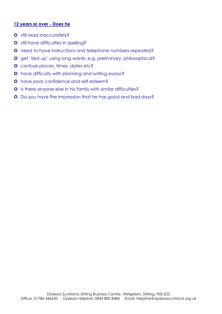#### 12 years or over - Does he

- **o** still read inaccurately?
- **o** still have difficulties in spelling?
- **O** need to have instructions and telephone numbers repeated?
- **O** get `tied up' using long words, e.g. preliminary, philosophical?
- **o** confuse places, times, dates etc?
- **O** have difficulty with planning and writing essays?
- **O** have poor confidence and self esteem?
- **O** Is there anyone else in his family with similar difficulties?
- **O** Do you have the impression that he has good and bad days?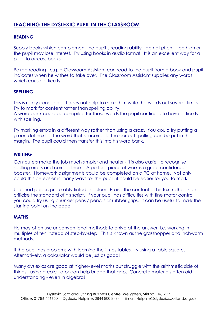# TEACHING THE DYSLEXIC PUPIL IN THE CLASSROOM

#### READING

Supply books which complement the pupil's reading ability - do not pitch it too high or the pupil may lose interest. Try using books in audio format. It is an excellent way for a pupil to access books.

Paired reading - e.g. a Classroom Assistant can read to the pupil from a book and pupil indicates when he wishes to take over. The Classroom Assistant supplies any words which cause difficulty.

#### SPELLING

This is rarely consistent. It does not help to make him write the words out several times. Try to mark for content rather than spelling ability.

A word bank could be compiled for those words the pupil continues to have difficulty with spelling.

Try marking errors in a different way rather than using a cross. You could try putting a green dot next to the word that is incorrect. The correct spelling can be put in the margin. The pupil could then transfer this into his word bank.

#### WRITING

Computers make the job much simpler and neater - it is also easier to recognise spelling errors and correct them. A perfect piece of work is a great confidence booster. Homework assignments could be completed on a PC at home. Not only could this be easier in many ways for the pupil, it could be easier for you to mark!

Use lined paper, preferably tinted in colour. Praise the content of his text rather than criticise the standard of his script. If your pupil has difficulties with fine motor control, you could try using chunkier pens / pencils or rubber grips. It can be useful to mark the starting point on the page.

#### **MATHS**

He may often use unconventional methods to arrive at the answer, i.e. working in multiples of ten instead of step-by-step. This is known as the grasshopper and inchworm methods.

If the pupil has problems with learning the times tables, try using a table square. Alternatively, a calculator would be just as good!

Many dyslexics are good at higher-level maths but struggle with the arithmetic side of things - using a calculator can help bridge that gap. Concrete materials often aid understanding - even in algebra!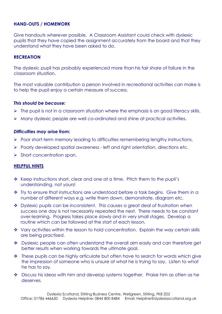#### HAND-OUTS / HOMEWORK

Give handouts wherever possible. A Classroom Assistant could check with dyslexic pupils that they have copied the assignment accurately from the board and that they understand what they have been asked to do.

#### RECREATION

The dyslexic pupil has probably experienced more than his fair share of failure in the classroom situation.

The most valuable contribution a person involved in recreational activities can make is to help the pupil enjoy a certain measure of success.

#### This should be because:

- $\triangleright$  The pupil is not in a classroom situation where the emphasis is on good literacy skills.
- Many dyslexic people are well co-ordinated and shine at practical activities.

#### Difficulties may arise from:

- Poor short-term memory leading to difficulties remembering lengthy instructions.
- Poorly developed spatial awareness left and right orientation, directions etc.
- $\triangleright$  Short concentration span.

#### HELPFUL HINTS

- \* Keep instructions short, clear and one at a time. Pitch them to the pupil's understanding, not yours!
- $\cdot \cdot$  Try to ensure that instructions are understood before a task begins. Give them in a number of different ways e.g. write them down, demonstrate, diagram etc.
- Dyslexic pupils can be inconsistent. This causes a great deal of frustration when success one day is not necessarily repeated the next. There needs to be constant over-learning. Progress takes place slowly and in very small stages. Develop a routine which can be followed at the start of each lesson.
- \* Vary activities within the lesson to hold concentration. Explain the way certain skills are being practised.
- \* Dyslexic people can often understand the overall aim easily and can therefore get better results when working towards the ultimate goal.
- $\bullet$  These pupils can be highly articulate but often have to search for words which give the impression of someone who is unsure of what he is trying to say. Listen to what he has to say.
- Discuss his ideas with him and develop systems together. Praise him as often as he deserves.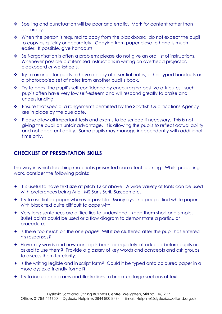- ◆ Spelling and punctuation will be poor and erratic. Mark for content rather than accuracy.
- $\cdot \cdot$  When the person is required to copy from the blackboard, do not expect the pupil to copy as quickly or accurately. Copying from paper close to hand is much easier. If possible, give handouts.
- Self-organisation is often a problem; please do not give an oral list of instructions. Whenever possible put itemised instructions in writing on overhead projector, blackboard or worksheets.
- $\cdot \cdot$  Try to arrange for pupils to have a copy of essential notes, either typed handouts or a photocopied set of notes from another pupil's book.
- \* Try to boost the pupil's self-confidence by encouraging positive attributes such pupils often have very low self-esteem and will respond greatly to praise and understanding.
- \* Ensure that special arrangements permitted by the Scottish Qualifications Agency are in place by the due date.
- Please allow all important tests and exams to be scribed if necessary. This is not giving the pupil an unfair advantage. It is allowing the pupils to reflect actual ability and not apparent ability. Some pupils may manage independently with additional time only.

# CHECKLIST OF PRESENTATION SKILLS

The way in which teaching material is presented can affect learning. Whilst preparing work, consider the following points:

- <sup>+</sup> It is useful to have text size at pitch 12 or above. A wide variety of fonts can be used with preferences being Arial, MS Sans Serif, Sassoon etc.
- Try to use tinted paper wherever possible. Many dyslexia people find white paper with black text quite difficult to cope with.
- Very long sentences are difficulties to understand keep them short and simple. Bullet points could be used or a flow diagram to demonstrate a particular procedure.
- **+** Is there too much on the one page? Will it be cluttered after the pupil has entered his responses?
- Have key words and new concepts been adequately introduced before pupils are asked to use them? Provide a glossary of key words and concepts and ask groups to discuss them for clarity.
- **+** Is the writing legible and in script form? Could it be typed onto coloured paper in a more dyslexia friendly format?
- Try to include diagrams and illustrations to break up large sections of text.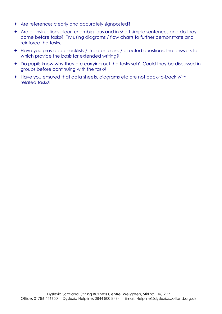- Are references clearly and accurately signposted?
- Are all instructions clear, unambiguous and in short simple sentences and do they come before tasks? Try using diagrams / flow charts to further demonstrate and reinforce the tasks.
- Have you provided checklists / skeleton plans / directed questions, the answers to which provide the basis for extended writing?
- Do pupils know why they are carrying out the tasks set? Could they be discussed in groups before continuing with the task?
- Have you ensured that data sheets, diagrams etc are not back-to-back with related tasks?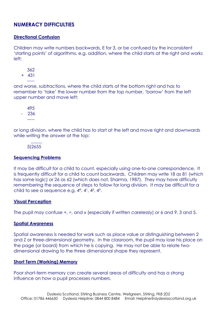# NUMERACY DIFFICULTIES

#### Directional Confusion

Children may write numbers backwards, E for 3, or be confused by the inconsistent 'starting points' of algorithms, e.g. addition, where the child starts at the right and works left;

362 + 431 -----

and worse, subtractions, where the child starts at the bottom right and has to remember to 'take' the lower number from the top number, 'borrow' from the left upper number and move left:

495 - 236 -----

or long division, where the child has to start at the left and move right and downwards while writing the answer at the top:

 $\mathcal{L}=\mathcal{L}=\mathcal{L}$ 5)2655

#### Sequencing Problems

It may be difficult for a child to count, especially using one-to-one correspondence. It is frequently difficult for a child to count backwards. Children may write 18 as 81 (which has some logic) or 26 as 62 (which does not, Sharma, 1987). They may have difficulty remembering the sequence of steps to follow for long division. It may be difficult for a child to see a sequence e.g.  $4^\circ$ ,  $4^\circ$ ,  $4^2$ ,  $4^3$ .

#### Visual Perception

The pupil may confuse  $+$ ,  $\div$ , and x (especially if written carelessly) or 6 and 9, 3 and 5.

#### Spatial Awareness

Spatial awareness is needed for work such as place value or distinguishing between 2 and Z or three-dimensional geometry. In the classroom, the pupil may lose his place on the page (or board) from which he is copying. He may not be able to relate twodimensional drawing to the three dimensional shape they represent.

#### Short Term (Working) Memory

Poor short-term memory can create several areas of difficulty and has a strong influence on how a pupil processes numbers.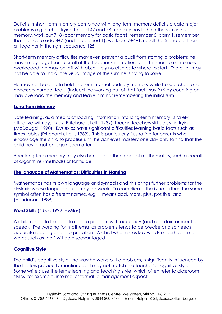Deficits in short-term memory combined with long-term memory deficits create major problems e.g. a child trying to add 47 and 78 mentally has to hold the sum in his memory, work out 7+8 (poor memory for basic facts), remember 5, carry 1, remember that he has to add 4+7 (and the carried 1), work out 7+4+1, recall the 5 and put them all together in the right sequence 125.

Short-term memory difficulties may even prevent a pupil from starting a problem; he may simply forget some or all of the teacher's instructions or, if his short-term memory is overloaded, he may be left with absolutely no clue as to where to start. The pupil may not be able to 'hold' the visual image of the sum he is trying to solve.

He may not be able to hold the sum in visual auditory memory while he searches for a necessary number fact. (Indeed the working out of that fact, say 9+6 by counting on, may overload the memory and leave him not remembering the initial sum.)

#### Long Term Memory

Rote learning, as a means of loading information into long-term memory, is rarely effective with dyslexics (Pritchard et all., 1989), though teachers still persist in trying (McDougal, 1990). Dyslexics have significant difficulties learning basic facts such as times tables (Pritchard et all., 1989). This is particularly frustrating for parents who encourage the child to practise until he achieves mastery one day only to find that the child has forgotten again soon after.

Poor long-term memory may also handicap other areas of mathematics, such as recall of algorithms (methods) or formulae.

#### The language of Mathematics: Difficulties in Naming

Mathematics has its own language and symbols and this brings further problems for the dyslexic whose language skills may be weak. To complicate the issue further, the same symbol often has different names, e.g. + means add, more, plus, positive, and (Henderson, 1989)

#### Word Skills (Kibel, 1992; E Miles)

A child needs to be able to read a problem with accuracy (and a certain amount of speed). The wording for mathematics problems tends to be precise and so needs accurate reading and interpretation. A child who misses key words or perhaps small words such as 'not' will be disadvantaged.

#### Cognitive Style

The child's cognitive style, the way he works out a problem, is significantly influenced by the factors previously mentioned. It may not match the teacher's cognitive style. Some writers use the terms learning and teaching style, which often refer to classroom styles, for example, informal or formal, a management aspect.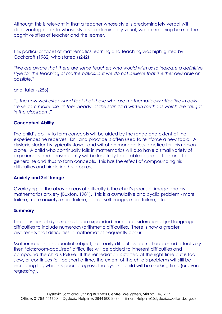Although this is relevant in that a teacher whose style is predominately verbal will disadvantage a child whose style is predominantly visual, we are referring here to the cognitive stiles of teacher and the learner.

This particular facet of mathematics learning and teaching was highlighted by Cockcroft (1982) who stated (s242):

"We are aware that there are some teachers who would wish us to indicate a definitive style for the teaching of mathematics, but we do not believe that is either desirable or possible."

and, later (s256)

"...the now well established fact that those who are mathematically effective in daily life seldom make use 'in their heads' of the standard written methods which are taught in the classroom."

#### Conceptual Ability

The child's ability to form concepts will be aided by the range and extent of the experiences he receives. Drill and practice is often used to reinforce a new topic. A dyslexic student is typically slower and will often manage less practice for this reason alone. A child who continually fails in mathematics will also have a small variety of experiences and consequently will be less likely to be able to see patters and to generalise and thus to form concepts. This has the effect of compounding his difficulties and hindering his progress.

#### Anxiety and Self Image

Overlaying all the above areas of difficulty is the child's poor self-image and his mathematics anxiety (Buxton, 1981). This is a cumulative and cyclic problem - more failure, more anxiety, more failure, poorer self-image, more failure, etc.

#### Summary

The definition of dyslexia has been expanded from a consideration of just language difficulties to include numeracy/arithmetic difficulties. There is now a greater awareness that difficulties in mathematics frequently occur.

Mathematics is a sequential subject, so if early difficulties are not addressed effectively then 'classroom-acquired' difficulties will be added to inherent difficulties and compound the child's failure. If the remediation is started at the right time but is too slow, or continues for too short a time, the extent of the child's problems will still be increasing for, while his peers progress, the dyslexic child will be marking time (or even regressing),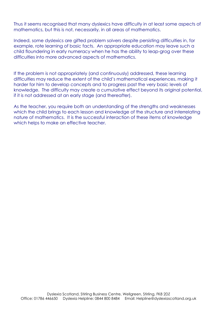Thus it seems recognised that many dyslexics have difficulty in at least some aspects of mathematics, but this is not, necessarily, in all areas of mathematics.

Indeed, some dyslexics are gifted problem solvers despite persisting difficulties in, for example, rote learning of basic facts. An appropriate education may leave such a child floundering in early numeracy when he has the ability to leap-grog over these difficulties into more advanced aspects of mathematics.

If the problem is not appropriately (and continuously) addressed, these learning difficulties may reduce the extent of the child's mathematical experiences, making it harder for him to develop concepts and to progress past the very basic levels of knowledge. The difficulty may create a cumulative effect beyond its original potential, if it is not addressed at an early stage (and thereafter).

As the teacher, you require both an understanding of the strengths and weaknesses which the child brings to each lesson and knowledge of the structure and interrelating nature of mathematics. It is the successful interaction of these items of knowledge which helps to make an effective teacher.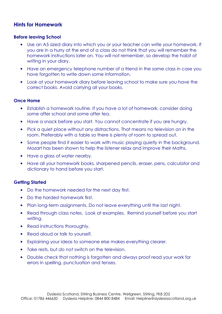### Hints for Homework

#### Before leaving School

- Use an A5 sized diary into which you or your teacher can write your homework. If you are in a hurry at the end of a class do not think that you will remember the homework instructions later on. You will not remember, so develop the habit of writing in your diary.
- Have an emergency telephone number of a friend in the same class in case you have forgotten to write down some information.
- Look at your homework diary before leaving school to make sure you have the correct books. Avoid carrying all your books.

#### Once Home

- Establish a homework routine. If you have a lot of homework, consider doing some after school and some after tea.
- Have a snack before you start. You cannot concentrate if you are hungry.
- Pick a quiet place without any distractions. That means no television on in the room. Preferably with a table so there is plenty of room to spread out.
- Some people find it easier to work with music playing quietly in the background. Mozart has been shown to help the listener relax and improve their Maths.
- Have a glass of water nearby.
- Have all your homework books, sharpened pencils, eraser, pens, calculator and dictionary to hand before you start.

#### Getting Started

- Do the homework needed for the next day first.
- Do the hardest homework first.
- Plan long-term assignments. Do not leave everything until the last night.
- Read through class notes. Look at examples. Remind yourself before you start writing.
- Read instructions thoroughly.
- Read aloud or talk to yourself.
- Explaining your ideas to someone else makes everything clearer.
- Take rests, but do not switch on the television.
- Double check that nothing is forgotten and always proof read your work for errors in spelling, punctuation and tenses.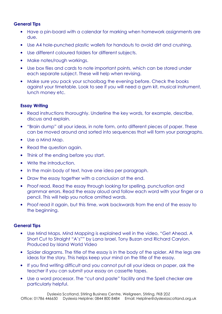#### General Tips

- Have a pin-board with a calendar for marking when homework assignments are due.
- Use A4 hole-punched plastic wallets for handouts to avoid dirt and crushing.
- Use different coloured folders for different subjects.
- Make notes/rough workings.
- Use box files and cards to note important points, which can be stored under each separate subject. These will help when revising.
- Make sure you pack your schoolbag the evening before. Check the books against your timetable. Look to see if you will need a gym kit, musical instrument, lunch money etc.

#### Essay Writing

- Read instructions thoroughly. Underline the key words, for example, describe, discuss and explain.
- "Brain dump" all your ideas, in note form, onto different pieces of paper. These can be moved around and sorted into sequences that will form your paragraphs.
- Use a Mind Map.
- Read the question again.
- Think of the ending before you start.
- Write the introduction.
- In the main body of text, have one idea per paragraph.
- Draw the essay together with a conclusion at the end.
- Proof read. Read the essay through looking for spelling, punctuation and grammar errors. Read the essay aloud and follow each word with your finger or a pencil. This will help you notice omitted words.
- Proof read it again, but this time, work backwards from the end of the essay to the beginning.

#### General Tips

- Use Mind Maps. Mind Mapping is explained well in the video, "Get Ahead. A Short Cut to Straight "A's"" by Lana Israel, Tony Buzan and Richard Carylon. Produced by Island World Video
- Spider diagrams. The title of the essay is in the body of the spider. All the legs are ideas for the story. This helps keep your mind on the title of the essay.
- If you find writing difficult and you cannot put all your ideas on paper, ask the teacher if you can submit your essay on cassette tapes.
- Use a word processor. The "cut and paste" facility and the Spell checker are particularly helpful.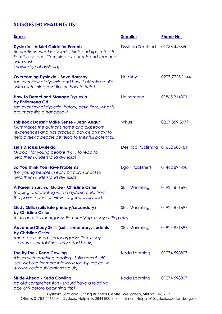# SUGGESTED READING LIST

| <b>Books</b>                                                                                                                                                                                         | <b>Supplier</b>                 | <b>Phone No.</b> |
|------------------------------------------------------------------------------------------------------------------------------------------------------------------------------------------------------|---------------------------------|------------------|
| <b>Dyslexia - A Brief Guide for Parents</b><br>(Indications, what is dyslexia, hints and tips, refers to<br>Scottish system. Compiled by parents and teachers<br>with vast<br>knowledge of dyslexia) | <b>Dyslexia Scotland</b>        | 01786 446650     |
| <b>Overcoming Dyslexia - Bevé Hornsby</b><br>(an overview of dyslexia and how it affects a child<br>with useful hints and tips on how to help)                                                       | Hornsby                         | 0207 7223 1144   |
| <b>How To Detect and Manage Dyslexia</b><br>by Philomena Off<br>(an overview of dyslexia, history, definitions, what is<br>etc.; more like a handbook)                                               | Heinemann                       | 01865314301      |
| This Book Doesn't Make Sense - Jean Augur<br>(Summaries the author's home and classroom<br>experiences and has practical advice on how to<br>help dyslexic people develop to their full potential)   | Whurr                           | 0207 359 5979    |
| Let's Discuss Dyslexia<br>(A book for young people (P6+) to read to<br>help them understand dyslexia)                                                                                                | Desktop Publishing 01652 688781 |                  |
| So You Think You Have Problems<br>(For young people in early primary school to<br>help them understand dyslexia)                                                                                     | Egon Publishers                 | 01462894498      |
| A Parent's Survival Guide - Christine Ostler<br>(coping and dealing with a dyslexic child from<br>the parents point of view - a good overview)                                                       | <b>SEN Marketing</b>            | 01924 871697     |
| <b>Study Skills (suits late primary/secondary)</b><br>by Christine Ostler<br>(hints and tips for organisation, studying, essay writing etc)                                                          | <b>SEN Marketing</b>            | 01924 871697     |
| <b>Advanced Study Skills (suits secondary/students)</b><br>by Christine Ostler<br>(more advanced tips for organisation, essay<br>structure, timetabling - very good book)                            | <b>SEN Marketing</b>            | 01924 871697     |
| <b>Toe By Toe - Keda Cowling</b><br>(Helps with teaching reading. Suits ages 8 - 80!<br>see website for more infowww.toe-by-toe.co.uk<br>& www.kedapublications.co.uk)                               | Keda Learning                   | 01274 598807     |
| <b>Stride Ahead - Keda Cowling</b><br>(to aid comprehension - should have a reading<br>age of 9 before beginning this)<br>Dyslexia Scotland, Stirling Business Centre, Wellgreen, Stirling, FK8 2DZ  | Keda Learning                   | 01274 598807     |

Office: 01786 446650 Dyslexia Helpline: 0844 800 8484 Email: Helpline@dyslexiascotland.org.uk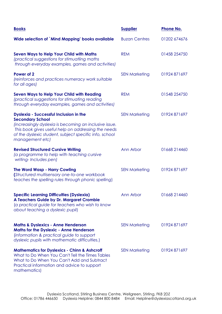| <b>Books</b>                                                                                                                                                                                                                                                           | <b>Supplier</b>      | <b>Phone No.</b> |
|------------------------------------------------------------------------------------------------------------------------------------------------------------------------------------------------------------------------------------------------------------------------|----------------------|------------------|
| Wide selection of `Mind Mapping' books available                                                                                                                                                                                                                       | <b>Buzan Centres</b> | 01202 674676     |
| <b>Seven Ways to Help Your Child with Maths</b><br>(practical suggestions for stimuatling maths<br>through everyday examples, games and activities)                                                                                                                    | <b>REM</b>           | 01458 254750     |
| Power of 2<br>(reinforces and practices numeracy work suitable<br>for all ages)                                                                                                                                                                                        | <b>SEN Marketing</b> | 01924 871697     |
| <b>Seven Ways to Help Your Child with Reading</b><br>(practical suggestions for stimuating reading<br>through everyday examples, games and activities)                                                                                                                 | <b>REM</b>           | 01548 254750     |
| <b>Dyslexia - Successful Inclusion in the</b><br><b>Secondary School</b><br>(increasingly dyslexia is becoming an inclusive issue.<br>This book gives useful help on addressing the needs<br>of the dyslexic student, subject specific info, school<br>management etc) | <b>SEN Marketing</b> | 01924 871697     |
| <b>Revised Structured Cursive Writing</b><br>(a programme to help with teaching cursive<br>writing-Includes pen)                                                                                                                                                       | Ann Arbor            | 01668 214460     |
| <b>The Word Wasp - Harry Cowling</b><br>(Structured multisensory one-to-one workbook<br>teaches the spelling rules through phonic spelling)                                                                                                                            | <b>SEN Marketing</b> | 01924 871697     |
| <b>Specific Learning Difficulties (Dyslexia)</b><br>A Teachers Guide by Dr. Margaret Crombie<br>(a practical guide for teachers who wish to know<br>about teaching a dyslexic pupil)                                                                                   | Ann Arbor            | 01668 214460     |
| <b>Maths &amp; Dyslexics - Anne Henderson</b><br><b>Maths for the Dyslexic - Anne Henderson</b><br>(information & practical guide to support<br>dyslexic pupils with mathematic difficulties.)                                                                         | <b>SEN Marketing</b> | 01924 871697     |
| <b>Mathematics for Dyslexics - Chinn &amp; Ashcroff</b><br>What to Do When You Can't Tell the Times Tables<br>What to Do When You Can't Add and Subtract<br>Practical information and advice to support<br>mathematics)                                                | <b>SEN Marketing</b> | 01924 871697     |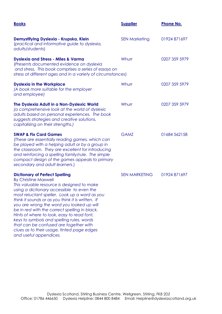| <b>Books</b>                                                                                                                                                                                                                                                                                                                                                                                                                                                                                                                                                                     | <b>Supplier</b>      | <b>Phone No.</b> |
|----------------------------------------------------------------------------------------------------------------------------------------------------------------------------------------------------------------------------------------------------------------------------------------------------------------------------------------------------------------------------------------------------------------------------------------------------------------------------------------------------------------------------------------------------------------------------------|----------------------|------------------|
| Demystifying Dyslexia - Krupska, Klein<br>(practical and informative guide to dyslexia,<br>adults/students)                                                                                                                                                                                                                                                                                                                                                                                                                                                                      | <b>SEN Marketing</b> | 01924 871697     |
| <b>Dyslexia and Stress - Miles &amp; Varma</b><br>(Presents documented evidence on dyslexia<br>and stress. This book comprises a series of essays on<br>stress at different ages and in a variety of circumstances)                                                                                                                                                                                                                                                                                                                                                              | Whurr                | 0207 359 5979    |
| <b>Dyslexia in the Workplace</b><br>(A book more suitable for the employer<br>and employee)                                                                                                                                                                                                                                                                                                                                                                                                                                                                                      | Whurr                | 0207 359 5979    |
| The Dyslexia Adult in a Non-Dyslexic World<br>(a comprehensive look at the world of dyslexic<br>adults based on personal experiences. The book<br>suggests strategies and creative solutions,<br>capitalising on their strengths.)                                                                                                                                                                                                                                                                                                                                               | Whurr                | 0207 359 5979    |
| <b>SWAP &amp; Fix Card Games</b><br>(These are essentially reading games, which can<br>be played with a helping adult or by a group in<br>the classroom. They are excellent for introducing<br>and reinforcing a spelling family/rule. The simple<br>compact design of the games appeals to primary<br>secondary and adult learners.)                                                                                                                                                                                                                                            | <b>GAMZ</b>          | 01684 562158     |
| <b>Dictionary of Perfect Spelling</b><br><b>By Christine Maxwell</b><br>This valuable resource is designed to make<br>using a dictionary accessible to even the<br>most reluctant speller. Look up a word as you<br>think it sounds or as you think it is written. If<br>you are wrong the word you looked up will<br>be in red with the correct spelling in black.<br>Hints of where to look, easy to read font,<br>keys to symbols and spelling rules, words<br>that can be confused are together with<br>clues as to their usage, tinted page edges<br>and useful appendices. | <b>SEN MARKETING</b> | 01924 871697     |